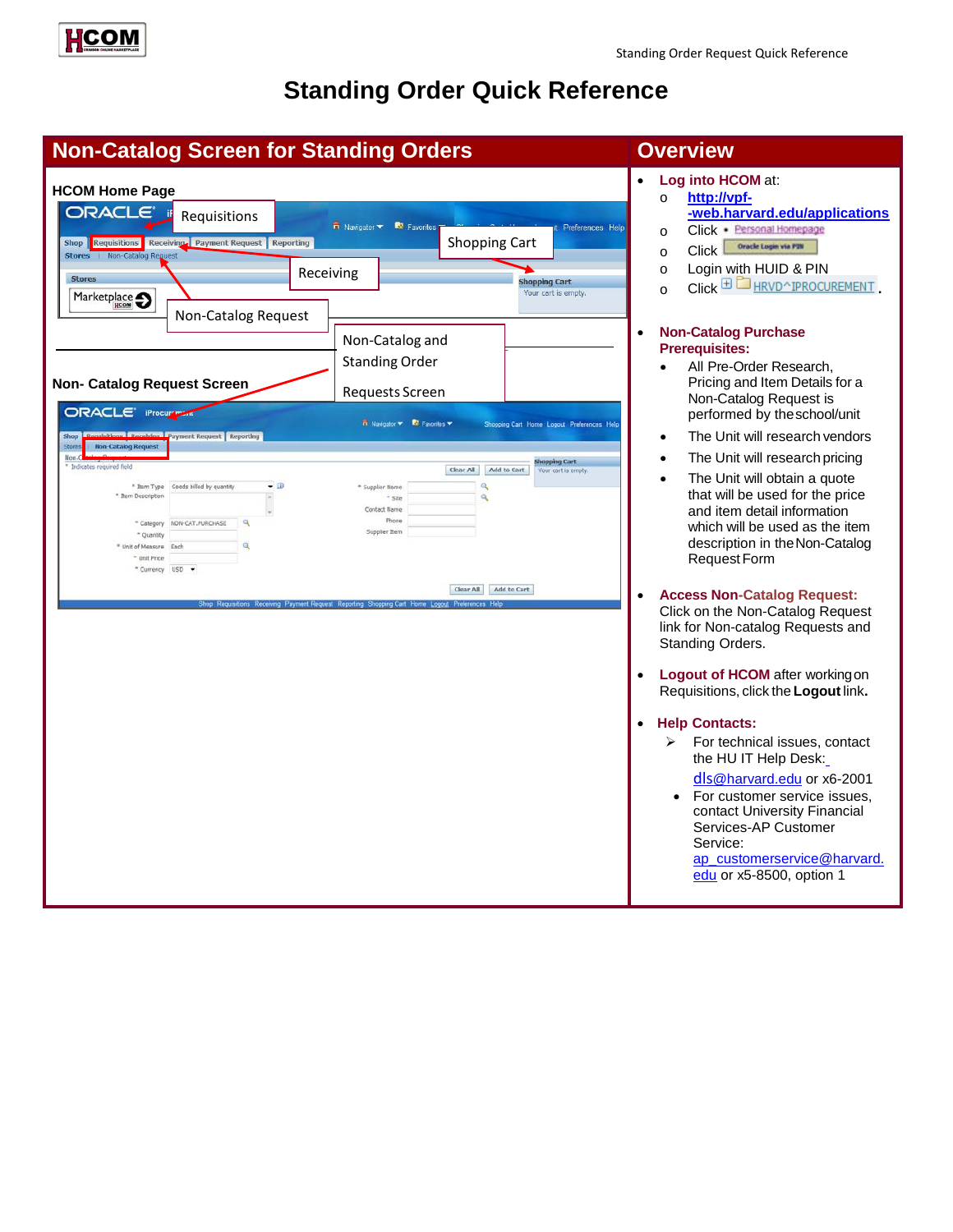

# **Standing Order Quick Reference**

| <b>Non-Catalog Screen for Standing Orders</b>                                                                                                                                                                                                                                                                                                                                             |                                                                                                                                                                                                                                                              | <b>Overview</b>                                                                                                                                                                                                                                                                                                                                                                                                                                                                                                                                                                                                                                                                                                                                                                                                                                                                                                                                                                                                                                                                               |
|-------------------------------------------------------------------------------------------------------------------------------------------------------------------------------------------------------------------------------------------------------------------------------------------------------------------------------------------------------------------------------------------|--------------------------------------------------------------------------------------------------------------------------------------------------------------------------------------------------------------------------------------------------------------|-----------------------------------------------------------------------------------------------------------------------------------------------------------------------------------------------------------------------------------------------------------------------------------------------------------------------------------------------------------------------------------------------------------------------------------------------------------------------------------------------------------------------------------------------------------------------------------------------------------------------------------------------------------------------------------------------------------------------------------------------------------------------------------------------------------------------------------------------------------------------------------------------------------------------------------------------------------------------------------------------------------------------------------------------------------------------------------------------|
| <b>HCOM Home Page</b><br>ORACLE' if<br>Requisitions<br>Shop Requisitions Receiving Payment Request Reporting<br>Stores   Non-Catalog Reguest<br><b>Stores</b><br>Marketplace <a><br/>Non-Catalog Request</a>                                                                                                                                                                              | $\overrightarrow{n}$ Navigator $\overrightarrow{ }$ Favorites<br><b>Shopping Cart</b><br>Receiving                                                                                                                                                           | Log into HCOM at:<br>http://vpf-<br>$\circ$<br>-web.harvard.edu/applications<br>Preferences Help<br>Click · Personal Homepage<br>$\circ$<br>Oracle Login via P3N<br>Click <sup>1</sup><br>$\circ$<br>Login with HUID & PIN<br>$\circ$<br><b>Shopping Cart</b><br>$Click \nightharpoonup$ HRVD^IPROCUREMENT<br>$\Omega$<br>Your cart is empty.                                                                                                                                                                                                                                                                                                                                                                                                                                                                                                                                                                                                                                                                                                                                                 |
| <b>Non- Catalog Request Screen</b><br>ORACLE' iProcure<br><b>Damisitions   December   Payment Request   Reporting</b><br>Shop<br><b>Non-Catalog Request</b><br>Non-C<br>Indicates required field<br>" Item Type Goods billed by quantity<br>" Item Description<br>NON-CAT, PURCHASE<br>* Category<br>- Quantity<br>Unit of Measure<br>Each<br><sup>=</sup> Unit Price<br>* Currency USD * | Non-Catalog and<br><b>Standing Order</b><br><b>Requests Screen</b><br>Navigator <b>Y R</b> Favorites <b>Y</b><br>Clear All<br>Add to Cart<br>- 0<br>Q<br>Supplier Name<br>٩<br>$*$ site<br>Contact Name<br>Phone<br>Supplier Rem<br>Add to Cart<br>Clear All | <b>Non-Catalog Purchase</b><br>$\bullet$<br><b>Prerequisites:</b><br>All Pre-Order Research,<br>$\bullet$<br>Pricing and Item Details for a<br>Non-Catalog Request is<br>performed by the school/unit<br>Shopping Cart Home Logout Preferences Hel<br>The Unit will research vendors<br>The Unit will research pricing<br>ihopping Cart<br>Your cart is empty.<br>The Unit will obtain a quote<br>that will be used for the price<br>and item detail information<br>which will be used as the item<br>description in the Non-Catalog<br>Request Form<br><b>Access Non-Catalog Request:</b><br>$\bullet$<br>Click on the Non-Catalog Request<br>link for Non-catalog Requests and<br>Standing Orders.<br>Logout of HCOM after working on<br>$\bullet$<br>Requisitions, click the Logout link.<br><b>Help Contacts:</b><br>$\bullet$<br>For technical issues, contact<br>⋗<br>the HU IT Help Desk:<br>dls@harvard.edu or x6-2001<br>For customer service issues,<br>contact University Financial<br>Services-AP Customer<br>Service:<br>ap_customerservice@harvard.<br>edu or x5-8500, option 1 |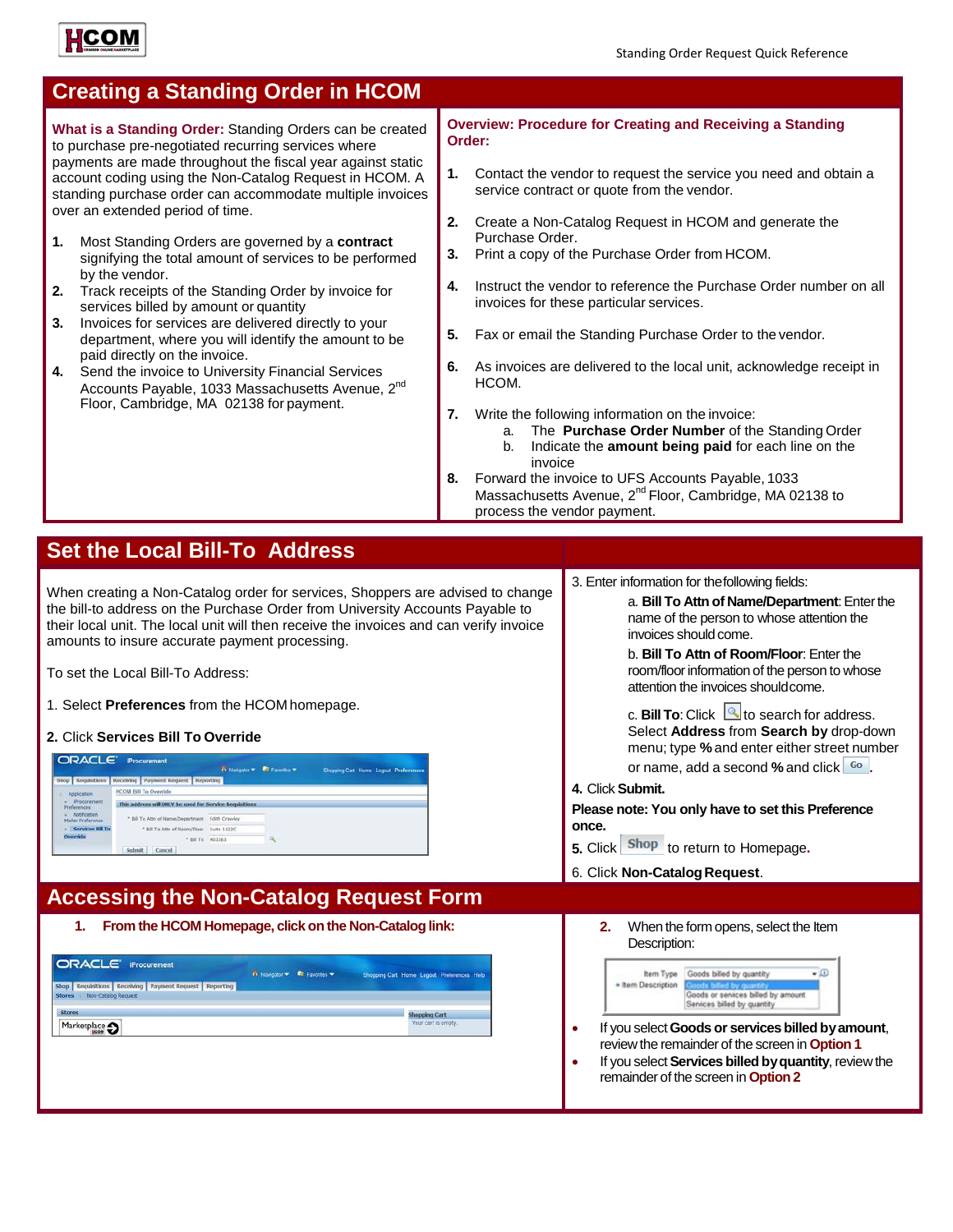

| <b>Creating a Standing Order in HCOM</b>                                                                                                                                                                                                                                                                                                                                                                                                                                                                                                                                                                                                                                                                                                                                                                                                                                                                              |                                                                                                           |                                                                                                                                                                                                                                                                                                                                                                                                                                                                                                                                                                                                                                                                                                                                                                                                                                                                       |
|-----------------------------------------------------------------------------------------------------------------------------------------------------------------------------------------------------------------------------------------------------------------------------------------------------------------------------------------------------------------------------------------------------------------------------------------------------------------------------------------------------------------------------------------------------------------------------------------------------------------------------------------------------------------------------------------------------------------------------------------------------------------------------------------------------------------------------------------------------------------------------------------------------------------------|-----------------------------------------------------------------------------------------------------------|-----------------------------------------------------------------------------------------------------------------------------------------------------------------------------------------------------------------------------------------------------------------------------------------------------------------------------------------------------------------------------------------------------------------------------------------------------------------------------------------------------------------------------------------------------------------------------------------------------------------------------------------------------------------------------------------------------------------------------------------------------------------------------------------------------------------------------------------------------------------------|
| What is a Standing Order: Standing Orders can be created<br>to purchase pre-negotiated recurring services where<br>payments are made throughout the fiscal year against static<br>account coding using the Non-Catalog Request in HCOM. A<br>standing purchase order can accommodate multiple invoices<br>over an extended period of time.<br>1.<br>Most Standing Orders are governed by a contract<br>signifying the total amount of services to be performed<br>by the vendor.<br>2.<br>Track receipts of the Standing Order by invoice for<br>services billed by amount or quantity<br>Invoices for services are delivered directly to your<br>3.<br>department, where you will identify the amount to be<br>paid directly on the invoice.<br>Send the invoice to University Financial Services<br>4.<br>Accounts Payable, 1033 Massachusetts Avenue, 2nd<br>Floor, Cambridge, MA 02138 for payment.               | Order:<br>1.<br>2.<br>Purchase Order.<br>3.<br>4.<br>5.<br>6.<br>HCOM.<br>7.<br>a.<br>b.<br>invoice<br>8. | <b>Overview: Procedure for Creating and Receiving a Standing</b><br>Contact the vendor to request the service you need and obtain a<br>service contract or quote from the vendor.<br>Create a Non-Catalog Request in HCOM and generate the<br>Print a copy of the Purchase Order from HCOM.<br>Instruct the vendor to reference the Purchase Order number on all<br>invoices for these particular services.<br>Fax or email the Standing Purchase Order to the vendor.<br>As invoices are delivered to the local unit, acknowledge receipt in<br>Write the following information on the invoice:<br>The Purchase Order Number of the Standing Order<br>Indicate the amount being paid for each line on the<br>Forward the invoice to UFS Accounts Payable, 1033<br>Massachusetts Avenue, 2 <sup>nd</sup> Floor, Cambridge, MA 02138 to<br>process the vendor payment. |
|                                                                                                                                                                                                                                                                                                                                                                                                                                                                                                                                                                                                                                                                                                                                                                                                                                                                                                                       |                                                                                                           |                                                                                                                                                                                                                                                                                                                                                                                                                                                                                                                                                                                                                                                                                                                                                                                                                                                                       |
| <b>Set the Local Bill-To Address</b>                                                                                                                                                                                                                                                                                                                                                                                                                                                                                                                                                                                                                                                                                                                                                                                                                                                                                  |                                                                                                           |                                                                                                                                                                                                                                                                                                                                                                                                                                                                                                                                                                                                                                                                                                                                                                                                                                                                       |
| When creating a Non-Catalog order for services, Shoppers are advised to change<br>the bill-to address on the Purchase Order from University Accounts Payable to<br>their local unit. The local unit will then receive the invoices and can verify invoice<br>amounts to insure accurate payment processing.<br>To set the Local Bill-To Address:<br>1. Select Preferences from the HCOM homepage.<br>2. Click Services Bill To Override<br><b>ORACLE IProcurement</b><br><b>B</b> Holestown <b>B</b> Executive <b>W</b><br>Shop Requisitions Receiving Payment Request Reporting<br><b>HCOM Bill To Override</b><br>Application<br>Procurement<br>This address will ONLY be used for Service Requisitions<br>Preferences<br>Notification<br>* Bill To Attn of Name/Department Edith Crawley<br>Mailer Preference<br>- Services 8ill To<br>* Bill To Attn of Room/Floor Suite 1122C<br>* BB To H03363<br>Submit Cancel |                                                                                                           | 3. Enter information for the following fields:<br>a. Bill To Attn of Name/Department: Enter the<br>name of the person to whose attention the<br>invoices should come.<br>b. Bill To Attn of Room/Floor: Enter the<br>room/floor information of the person to whose<br>attention the invoices should come.<br>c. Bill To: Click $\bigcirc$ to search for address.<br>Select Address from Search by drop-down<br>menu; type % and enter either street number<br>or name, add a second % and click <sup>Go</sup><br>4. Click Submit.<br>Please note: You only have to set this Preference<br>once.<br>5. Click Shop to return to Homepage.<br>6. Click Non-Catalog Request.                                                                                                                                                                                              |
| <b>Accessing the Non-Catalog Request Form</b>                                                                                                                                                                                                                                                                                                                                                                                                                                                                                                                                                                                                                                                                                                                                                                                                                                                                         |                                                                                                           |                                                                                                                                                                                                                                                                                                                                                                                                                                                                                                                                                                                                                                                                                                                                                                                                                                                                       |
| From the HCOM Homepage, click on the Non-Catalog link:<br>1.<br><b>ORACLE IProcurement</b><br>n Navigator = E2 Favorites =<br>Shopping Cart Home Logout Preferences Help<br>Shop Requisitions Receiving Payment Request Reporting<br>Stores   Non-Catalog Request<br><b>Stores</b><br>shopping Cart<br>Your cart is empty<br>Marketplace O                                                                                                                                                                                                                                                                                                                                                                                                                                                                                                                                                                            |                                                                                                           | 2.<br>When the form opens, select the Item<br>Description:<br>$-\Box$<br>Item Type Goods billed by quantity<br>* Item Description<br>Goods or services billed by amount<br>Senices billed by quantity<br>If you select Goods or services billed by amount,<br>$\bullet$<br>review the remainder of the screen in Option 1<br>If you select Services billed by quantity, review the<br>$\bullet$<br>remainder of the screen in Option 2                                                                                                                                                                                                                                                                                                                                                                                                                                |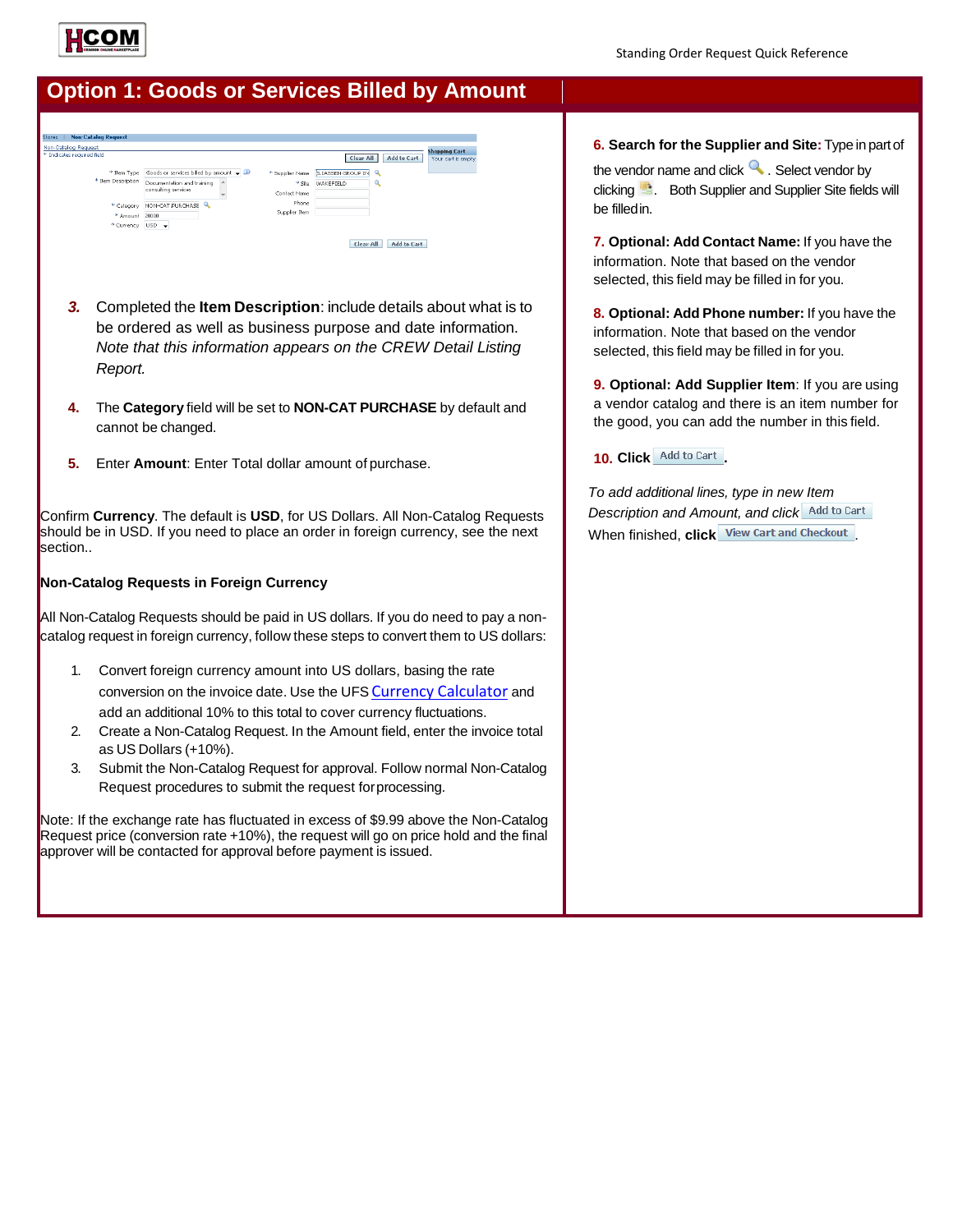

# **Option 1: Goods or Services Billed by Amount**

| Non-Catalog Request        |                                               |               |                                     |                    |                                             |
|----------------------------|-----------------------------------------------|---------------|-------------------------------------|--------------------|---------------------------------------------|
| * Indicates required field |                                               |               | Clear All                           | <b>Add to Cart</b> | <b>Shopping Cart</b><br>Your cart is empty. |
| * Item Type                | Goods or services billed by amount $\sqrt{D}$ |               | * Supplier Name ELIASSEN GROUP IN Q |                    |                                             |
| * Item Description         | Documentation and training                    | $*$ Site      | WAKEFIELD                           |                    |                                             |
|                            | consulting services                           | Contact Name  |                                     |                    |                                             |
| * Category                 | $\mathbf Q$<br>NON-CAT.PURCHASE               | Phone         |                                     |                    |                                             |
| * Amount                   | 20000                                         | Supplier Item |                                     |                    |                                             |
| * Currency                 | $USD - \div$                                  |               |                                     |                    |                                             |

- *3.* Completed the **Item Description**: include details about what is to be ordered as well as business purpose and date information. *Note that this information appears on the CREW Detail Listing Report.*
- **4.** The **Category** field will be set to **NON-CAT PURCHASE** by default and cannot be changed.
- **5.** Enter **Amount**: Enter Total dollar amount of purchase.

Confirm **Currency**. The default is **USD**, for US Dollars. All Non-Catalog Requests should be in USD. If you need to place an order in foreign currency, see the next section..

#### **Non-Catalog Requests in Foreign Currency**

All Non-Catalog Requests should be paid in US dollars. If you do need to pay a noncatalog request in foreign currency, follow these steps to convert them to US dollars:

- 1. Convert foreign currency amount into US dollars, basing the rate conversion on the invoice date. Use the UFS Currency [Calculator](http://www.oanda.com/currency/converter/) and add an additional 10% to this total to cover currency fluctuations.
- 2. Create a Non-Catalog Request. In the Amount field, enter the invoice total as US Dollars (+10%).
- 3. Submit the Non-Catalog Request for approval. Follow normal Non-Catalog Request procedures to submit the request forprocessing.

Note: If the exchange rate has fluctuated in excess of \$9.99 above the Non-Catalog Request price (conversion rate +10%), the request will go on price hold and the final approver will be contacted for approval before payment is issued.

**6. Search for the Supplier and Site:** Type in partof the vendor name and click  $\sim$ . Select vendor by clicking . Both Supplier and Supplier Site fields will

be filledin.

**7. Optional: Add Contact Name:** If you have the information. Note that based on the vendor selected, this field may be filled in for you.

**8. Optional: Add Phone number:** If you have the information. Note that based on the vendor selected, this field may be filled in for you.

**9. Optional: Add Supplier Item**: If you are using a vendor catalog and there is an item number for the good, you can add the number in this field.

#### **10. Click .**

*To add additional lines, type in new Item Description and Amount, and click* When finished, **click** View Cart and Checkout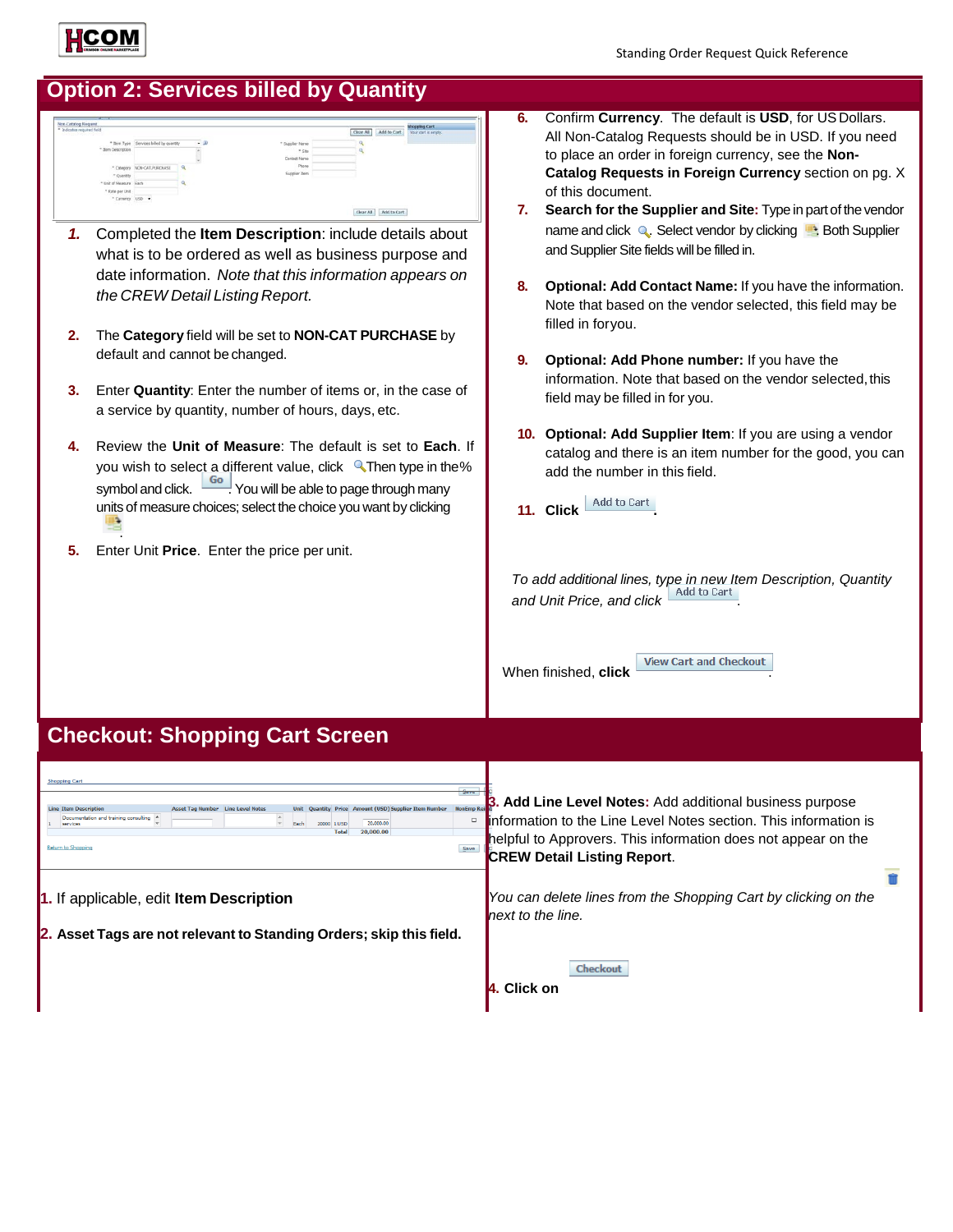

# **Option 2: Services billed by Quantity**

| * Indicates required field                            |                                        |           |                        | Add to Cart<br>Clear All | Your cart is empty. |
|-------------------------------------------------------|----------------------------------------|-----------|------------------------|--------------------------|---------------------|
|                                                       | * Bem Type Services billed by quantity | $\cdot$ 9 | * Supplier Name        |                          |                     |
| " Item Description                                    |                                        |           | $-$ Site               |                          |                     |
|                                                       |                                        |           | Contact Name           |                          |                     |
|                                                       | * Category NON-CAT.PURCHASE            | $\alpha$  | Phone                  |                          |                     |
| * Quantity                                            |                                        |           | Supplier Zem<br>$\sim$ |                          |                     |
| * Unit of Measure Each                                |                                        |           |                        |                          |                     |
| * Rate per unit                                       |                                        |           |                        |                          |                     |
| * Currency USD *<br>the control of the control of the |                                        |           |                        |                          |                     |

- *1.* Completed the **Item Description**: include details about what is to be ordered as well as business purpose and date information. *Note that this information appears on the CREW Detail Listing Report.*
- **2.** The **Category** field will be set to **NON-CAT PURCHASE** by default and cannot be changed.
- **3.** Enter **Quantity**: Enter the number of items or, in the case of a service by quantity, number of hours, days, etc.
- **4.** Review the **Unit of Measure**: The default is set to **Each**. If you wish to select a different value, click **Then type in the%** symbol and click.  $\frac{1}{100}$  You will be able to page through many units of measure choices; select the choice you want by clicking .
- **5.** Enter Unit **Price**. Enter the price per unit.
- **6.** Confirm **Currency**. The default is **USD**, for US Dollars. All Non-Catalog Requests should be in USD. If you need to place an order in foreign currency, see the **Non-Catalog Requests in Foreign Currency** section on pg. X of this document.
- **7. Search for the Supplier and Site:** Type in partof thevendor name and click Q. Select vendor by clicking **.** Both Supplier and Supplier Site fields will be filled in.
- **8. Optional: Add Contact Name:** If you have the information. Note that based on the vendor selected, this field may be filled in foryou.
- **9. Optional: Add Phone number:** If you have the information. Note that based on the vendor selected, this field may be filled in for you.
- **10. Optional: Add Supplier Item**: If you are using a vendor catalog and there is an item number for the good, you can add the number in this field.
- 11. Click <u>Add to Cart</u>

*To add additional lines, type in new Item Description, Quantity and Unit Price, and click* .

When finished, **click** 

**View Cart and Checkout** 

### **Checkout: Shopping Cart Screen**

| <b>Shopping Cart</b><br>$3$ ave<br><b>NonEmp Re</b><br><b>Amount (USD) Supplier Item Number</b><br><b>Line Level Notes</b><br><b>Line Item Description</b><br>Price<br>Documentation and training consulting A<br>$\Box$<br>20,000,00<br>20000 1115D<br>Fach<br>services<br>20,000.00<br>Total | Add Line Level Notes: Add additional business purpose<br>information to the Line Level Notes section. This information is<br>helpful to Approvers. This information does not appear on the |
|------------------------------------------------------------------------------------------------------------------------------------------------------------------------------------------------------------------------------------------------------------------------------------------------|--------------------------------------------------------------------------------------------------------------------------------------------------------------------------------------------|
| <b>Return to Shopping</b><br>Save                                                                                                                                                                                                                                                              | <b>CREW Detail Listing Report.</b>                                                                                                                                                         |
| 1. If applicable, edit Item Description                                                                                                                                                                                                                                                        | You can delete lines from the Shopping Cart by clicking on the<br>next to the line.                                                                                                        |
| 2. Asset Tags are not relevant to Standing Orders; skip this field.                                                                                                                                                                                                                            |                                                                                                                                                                                            |
|                                                                                                                                                                                                                                                                                                | Checkout<br>. Click on                                                                                                                                                                     |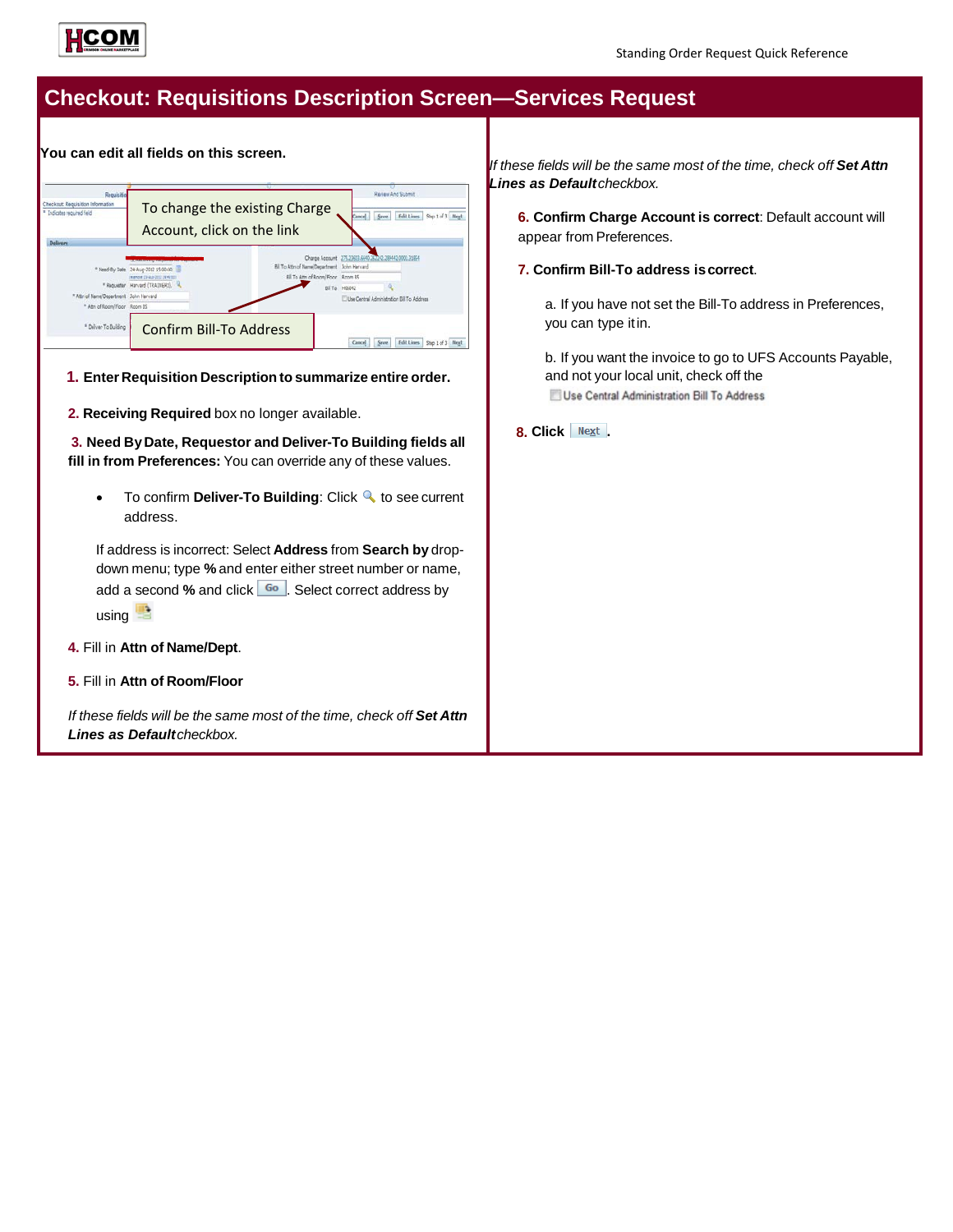

# **Checkout: Requisitions Description Screen—Services Request**

**You can edit all fields on this screen.**



**1. Enter Requisition Description to summarize entire order.**

**2. Receiving Required** box no longer available.

**3. Need ByDate, Requestor and Deliver-To Building fields all fill in from Preferences:** You can override any of these values.

• To confirm **Deliver-To Building**: Click **Q** to see current address.

If address is incorrect: Select **Address** from **Search by** dropdown menu; type **%** and enter either street number or name, add a second % and click **60**. Select correct address by  $using$ <sup> $\blacksquare$ </sup>

- **4.** Fill in **Attn of Name/Dept**.
- **5.** Fill in **Attn of Room/Floor**

*If these fields will be the same most of the time, check off Set Attn Lines as Defaultcheckbox.*

*If these fields will be the same most of the time, check off Set Attn Lines as Defaultcheckbox.*

**6. Confirm Charge Account is correct**: Default account will appear from Preferences.

**7. Confirm Bill-To address iscorrect**.

a. If you have not set the Bill-To address in Preferences, you can type itin.

b. If you want the invoice to go to UFS Accounts Payable, and not your local unit, check off the Use Central Administration Bill To Address

**8. Click .**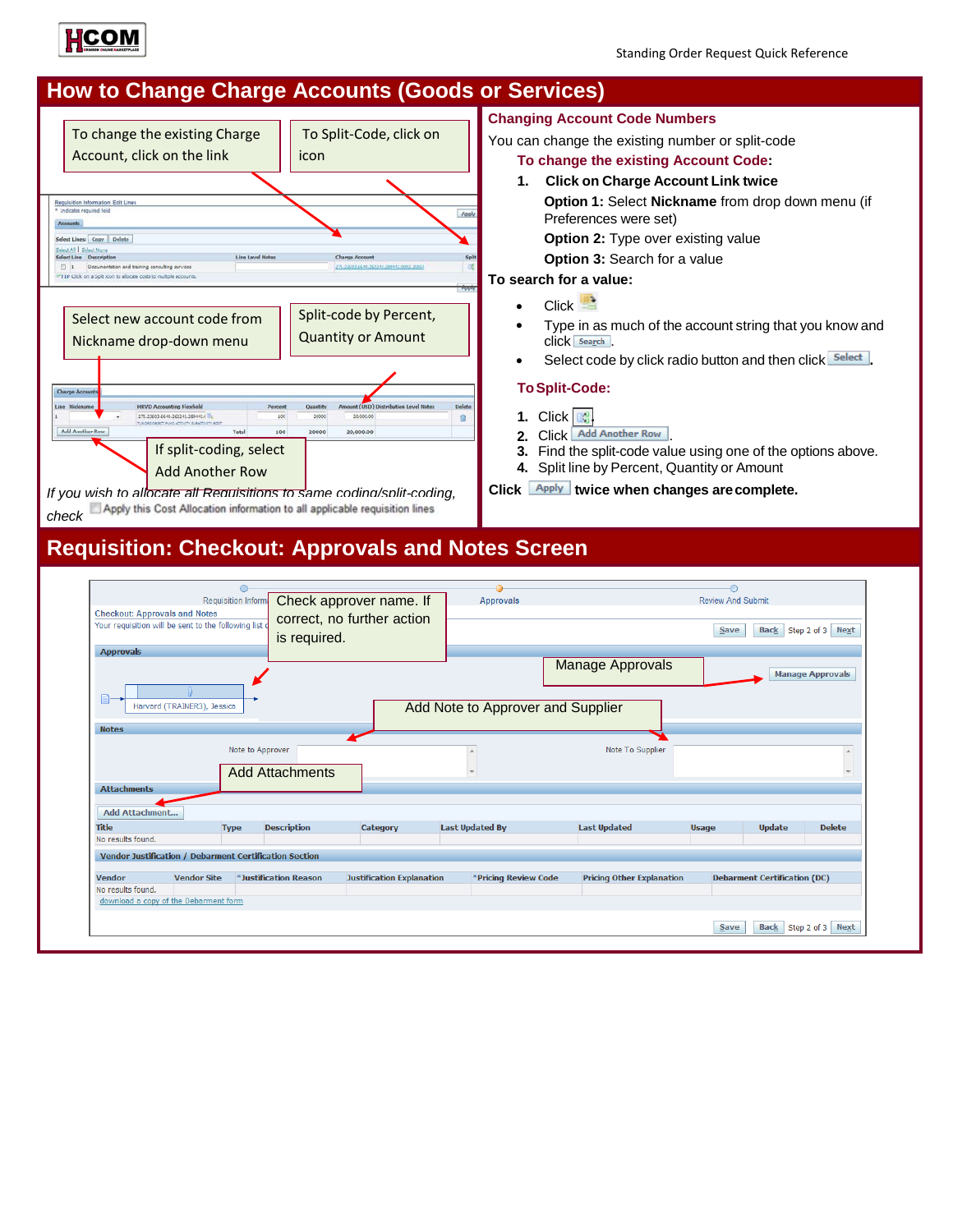

# **How to Change Charge Accounts (Goods or Services)**



# You can change the existing number or split-code

### **To change the existing Account Code:**

**1. Click on Charge Account Link twice Option 1:** Select **Nickname** from drop down menu (if Preferences were set) **Option 2:** Type over existing value **Option 3: Search for a value** 

#### **To search for a value:**

- Click
- Type in as much of the account string that you know and click **Search**
- Select code by click radio button and then click **Select**.

#### **ToSplit-Code:**

- **1.** Click **.**
- 2. Click Add Another Row
- **3.** Find the split-code value using one of the options above.
- **4.** Split line by Percent, Quantity or Amount

Click **Apply** twice when changes are complete.

## **Requisition: Checkout: Approvals and Notes Screen**

|                                                        |                             | Requisition Inform |                        |                                  |                                   |                                  | <b>Review And Submit</b> |                                     |                           |
|--------------------------------------------------------|-----------------------------|--------------------|------------------------|----------------------------------|-----------------------------------|----------------------------------|--------------------------|-------------------------------------|---------------------------|
| <b>Checkout: Approvals and Notes</b>                   |                             |                    |                        | Check approver name. If          | <b>Approvals</b>                  |                                  |                          |                                     |                           |
| Your requisition will be sent to the following list o  |                             |                    | is required.           | correct, no further action       |                                   |                                  | Save                     | <b>Back</b>                         | Step 2 of 3 Next          |
| <b>Approvals</b>                                       |                             |                    |                        |                                  |                                   |                                  |                          |                                     |                           |
|                                                        |                             |                    |                        |                                  |                                   | <b>Manage Approvals</b>          |                          |                                     | <b>Manage Approvals</b>   |
|                                                        |                             |                    |                        |                                  |                                   |                                  |                          |                                     |                           |
|                                                        | Harvard (TRAINER3), Jessica |                    |                        |                                  | Add Note to Approver and Supplier |                                  |                          |                                     |                           |
| <b>Notes</b>                                           |                             |                    |                        |                                  |                                   |                                  |                          |                                     |                           |
|                                                        |                             |                    | Note to Approver       |                                  |                                   | Note To Supplier                 |                          |                                     | $\mathbf{A}$              |
|                                                        |                             |                    |                        |                                  |                                   |                                  |                          |                                     |                           |
|                                                        |                             |                    | <b>Add Attachments</b> |                                  |                                   |                                  |                          |                                     |                           |
| <b>Attachments</b>                                     |                             |                    |                        |                                  |                                   |                                  |                          |                                     |                           |
| <b>Add Attachment</b>                                  |                             |                    |                        |                                  |                                   |                                  |                          |                                     |                           |
| <b>Title</b>                                           |                             | <b>Type</b>        | <b>Description</b>     | Category                         | <b>Last Updated By</b>            | <b>Last Updated</b>              | <b>Usage</b>             | <b>Update</b>                       | <b>Delete</b>             |
| No results found.                                      |                             |                    |                        |                                  |                                   |                                  |                          |                                     |                           |
| Vendor Justification / Debarment Certification Section |                             |                    |                        |                                  |                                   |                                  |                          |                                     |                           |
|                                                        |                             |                    |                        |                                  |                                   |                                  |                          |                                     |                           |
| <b>Vendor</b>                                          | <b>Vendor Site</b>          |                    | *Justification Reason  | <b>Justification Explanation</b> | *Pricing Review Code              | <b>Pricing Other Explanation</b> |                          | <b>Debarment Certification (DC)</b> |                           |
| No results found.                                      |                             |                    |                        |                                  |                                   |                                  |                          |                                     |                           |
| download a copy of the Debarment form                  |                             |                    |                        |                                  |                                   |                                  |                          |                                     |                           |
|                                                        |                             |                    |                        |                                  |                                   |                                  |                          |                                     |                           |
|                                                        |                             |                    |                        |                                  |                                   |                                  | Save                     |                                     | Back   Step 2 of 3   Next |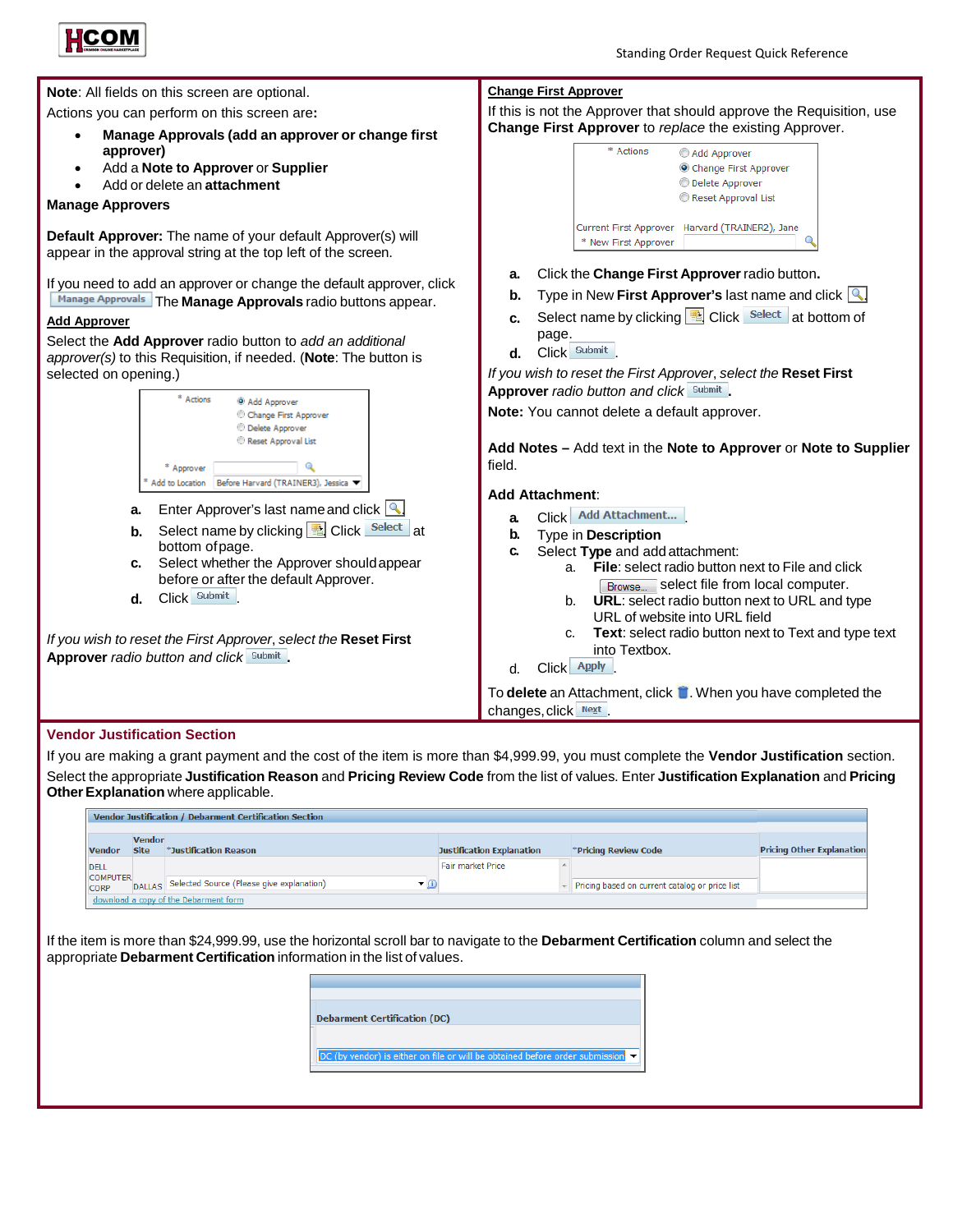



If you are making a grant payment and the cost of the item is more than \$4,999.99, you must complete the **Vendor Justification** section. Select the appropriate **Justification Reason** and **Pricing Review Code** from the list of values. Enter **Justification Explanation** and **Pricing Other Explanation** where applicable.

|                                                 | Vendor Justification / Debarment Certification Section                |                                  |                                                |                                  |
|-------------------------------------------------|-----------------------------------------------------------------------|----------------------------------|------------------------------------------------|----------------------------------|
| <b>Vendor</b><br><b>Site</b><br><b>Vendor</b>   | *Justification Reason                                                 | <b>Justification Explanation</b> | *Pricing Review Code                           | <b>Pricing Other Explanation</b> |
| <b>DELL</b>                                     |                                                                       | Fair market Price                |                                                |                                  |
| <b>COMPUTER</b><br><b>DALLAS</b><br><b>CORP</b> | Selected Source (Please give explanation)<br>$\blacktriangledown$ (i) |                                  | Pricing based on current catalog or price list |                                  |
|                                                 | download a copy of the Debarment form                                 |                                  |                                                |                                  |

If the item is more than \$24,999.99, use the horizontal scroll bar to navigate to the **Debarment Certification** column and select the appropriate **Debarment Certification** information in the list of values.

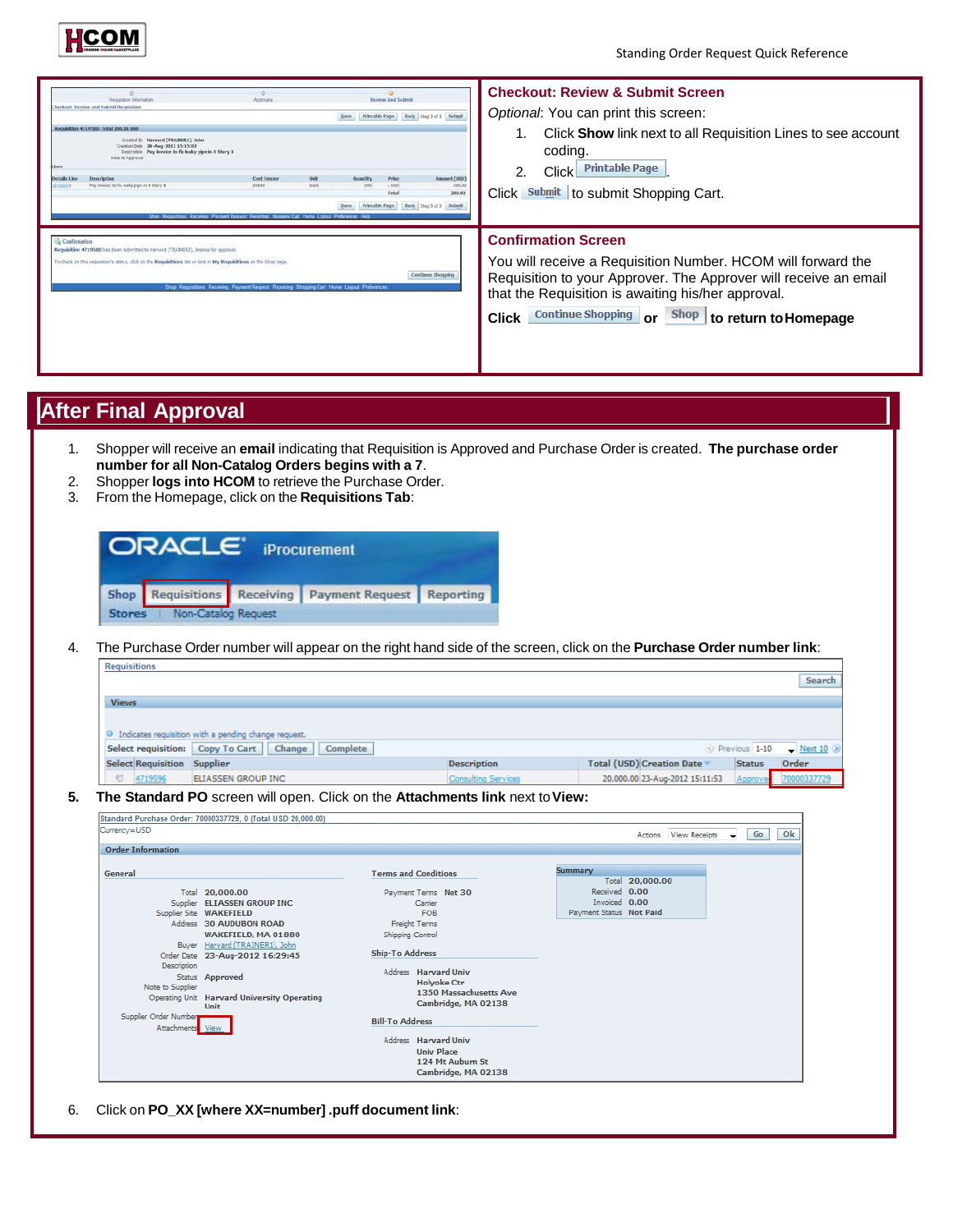

| Requisition Information<br>heckest Review and Submit Requisition<br>Recreation 4715580: total 200.00 USD<br>Created by Harvard (TRAINER1), John<br>Creation Date 28-Aug-2012 15:15:02<br>Pay invoice to fix leaky pipe in 6 Story 8.<br>Description<br>Note to Approve<br>Lkses<br><b>Description</b><br>Details Line<br>Pay invoice to fix leaky pips in 8 Story 9. | Approvais<br><b>Cost Center</b><br><b>Jeit</b><br>Each.<br>55851<br>Shop Requisions Receiving Payment Request Reporting Shopping Cart Home Loggut Preferences Help | <b>Review And Submit</b><br>Printable Page   Rack   Step 3 of 3   Sufferit<br><b>QUANTRY</b><br>Price<br>1 USD<br>240<br>Total<br>Back Step 3 of 3 Submit<br><b>Printable Fage</b><br>Save | <b>Checkout: Review &amp; Submit Screen</b><br>Optional: You can print this screen:<br>Click <b>Show</b> link next to all Requisition Lines to see account<br>coding.<br><b>Printable Page</b><br><b>Click</b><br>2.<br>Amount (USD)<br>200.00<br>Click Submit to submit Shopping Cart.<br>200,00    |  |
|----------------------------------------------------------------------------------------------------------------------------------------------------------------------------------------------------------------------------------------------------------------------------------------------------------------------------------------------------------------------|--------------------------------------------------------------------------------------------------------------------------------------------------------------------|--------------------------------------------------------------------------------------------------------------------------------------------------------------------------------------------|------------------------------------------------------------------------------------------------------------------------------------------------------------------------------------------------------------------------------------------------------------------------------------------------------|--|
| Confirmation<br>Requisition 4719580 has been submitted to Harvard (TRAIN(RJ), Jessica for approval.<br>To check on this requisition's status, click on the Requisitions tab or look in My Requisitions on the Shop page.                                                                                                                                             | Shop Requisitions Receiving Payment Request Reporting Shopping Carl Home Locout Preferences                                                                        | Continue Shopping                                                                                                                                                                          | <b>Confirmation Screen</b><br>You will receive a Requisition Number. HCOM will forward the<br>Requisition to your Approver. The Approver will receive an email<br>that the Requisition is awaiting his/her approval.<br><b>Continue Shopping</b><br>Shop to return to Homepage<br><b>Click</b><br>or |  |

# **After Final Approval**

- 1. Shopper will receive an **email** indicating that Requisition is Approved and Purchase Order is created. **The purchase order number for all Non-Catalog Orders begins with a 7**.
- 2. Shopper **logs into HCOM** to retrieve the Purchase Order.
- 3. From the Homepage, click on the **Requisitions Tab**:

| <b>ORACLE iProcurement</b>   |                                                       |  |
|------------------------------|-------------------------------------------------------|--|
|                              | Shop Requisitions Receiving Payment Request Reporting |  |
| Stores   Non-Catalog Request |                                                       |  |

4. The Purchase Order number will appear on the right hand side of the screen, click on the **Purchase Order number link**:

|                                                                                                                                                |                             |                                          |                            |                         |                                 |               | <b>Search</b>                  |
|------------------------------------------------------------------------------------------------------------------------------------------------|-----------------------------|------------------------------------------|----------------------------|-------------------------|---------------------------------|---------------|--------------------------------|
|                                                                                                                                                |                             |                                          |                            |                         |                                 |               |                                |
| <b>Views</b>                                                                                                                                   |                             |                                          |                            |                         |                                 |               |                                |
|                                                                                                                                                |                             |                                          |                            |                         |                                 |               |                                |
| Indicates requisition with a pending change request.                                                                                           |                             |                                          |                            |                         |                                 |               |                                |
| Select requisition: Copy To Cart                                                                                                               | Change                      | <b>Complete</b>                          |                            |                         |                                 | Previous 1-10 | $\blacksquare$ Next 10 $\odot$ |
| Select Requisition Supplier                                                                                                                    |                             |                                          | <b>Description</b>         |                         | Total (USD) Creation Date ▼     | <b>Status</b> | Order                          |
| $\alpha$<br>4719596                                                                                                                            | ELIASSEN GROUP INC          |                                          | <b>Consulting Services</b> |                         | 20,000.00 23-Aug-2012 15:11:53  | Approve       |                                |
| The Standard PO screen will open. Click on the Attachments link next to View:<br>Standard Purchase Order: 70000337729, 0 (Total USD 20,000.00) |                             |                                          |                            |                         |                                 |               |                                |
| Currency=USD                                                                                                                                   |                             |                                          |                            |                         | <b>View Receipts</b><br>Actions | Go            | Ok                             |
| <b>Order Information</b>                                                                                                                       |                             |                                          |                            |                         |                                 |               |                                |
|                                                                                                                                                |                             |                                          |                            | Summary                 |                                 |               |                                |
| General                                                                                                                                        |                             | <b>Terms and Conditions</b>              |                            |                         | Total 20,000,00                 |               |                                |
| Total 20,000.00                                                                                                                                |                             | Payment Terms Net 30                     |                            | Received 0.00           |                                 |               |                                |
|                                                                                                                                                | Supplier ELIASSEN GROUP INC | Carrier                                  |                            | Invoiced 0.00           |                                 |               |                                |
| Supplier Site WAKEFIELD                                                                                                                        |                             | <b>FOR</b>                               |                            | Payment Status Not Paid |                                 |               |                                |
| Address 30 AUDUBON ROAD                                                                                                                        | WAKEFIELD, MA 01880         | Freight Terms<br><b>Shipping Control</b> |                            |                         |                                 |               |                                |

|                                           | Buyer Harvard (TRAINER1), John<br>Order Date 23-Aug-2012 16:29:45      | Ship-To Address                                                                             |                                                                                      |  |
|-------------------------------------------|------------------------------------------------------------------------|---------------------------------------------------------------------------------------------|--------------------------------------------------------------------------------------|--|
| Description<br>Note to Supplier           | Status Approved<br>Operating Unit Harvard University Operating<br>Unit | Address Harvard Univ<br><b>Holvoke Ctr</b><br>1350 Massachusetts Ave<br>Cambridge, MA 02138 |                                                                                      |  |
| Supplier Order Number<br>Attachments View |                                                                        | <b>Bill-To Address</b>                                                                      |                                                                                      |  |
|                                           |                                                                        |                                                                                             | Address Harvard Univ<br><b>Univ Place</b><br>124 Mt Auburn St<br>Cambridge, MA 02138 |  |

6. Click on **PO\_XX [where XX=number] .puff document link**: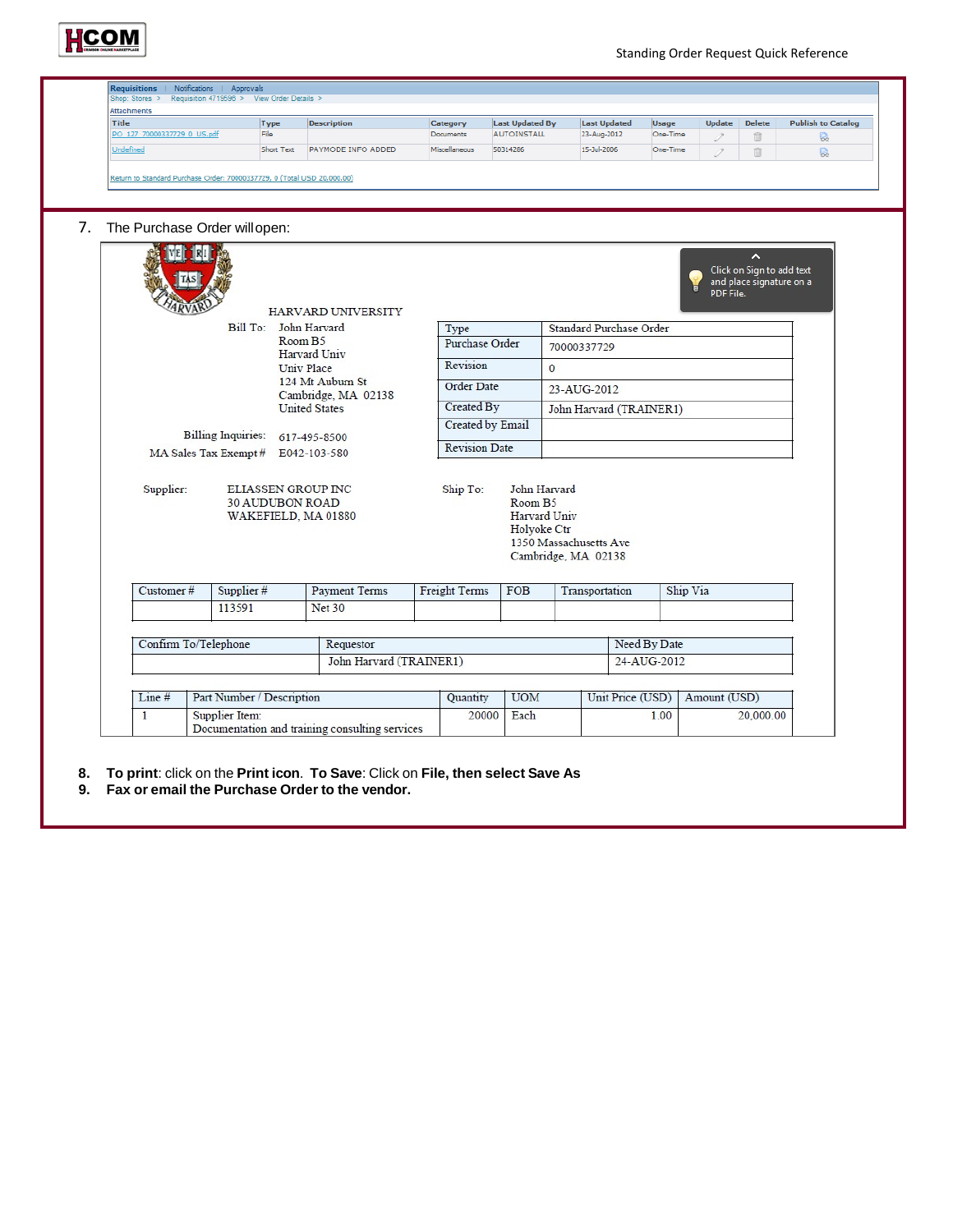

| Title                       | Type                                                                       | <b>Description</b>                               | Category             |          | <b>Last Updated By</b>                                             |                                               | <b>Last Updated</b>      | <b>Usage</b> | <b>Update</b> | <b>Delete</b>                                              | <b>Publish to Catalog</b> |
|-----------------------------|----------------------------------------------------------------------------|--------------------------------------------------|----------------------|----------|--------------------------------------------------------------------|-----------------------------------------------|--------------------------|--------------|---------------|------------------------------------------------------------|---------------------------|
| PO 127 70000337729 0 US.pdf | File                                                                       |                                                  | Documents            |          | <b>AUTOINSTALL</b>                                                 | 23-Aug-2012                                   |                          | One-Time     | P             | û                                                          | R.                        |
| Undefined                   | Short Text                                                                 | PAYMODE INFO ADDED                               | Miscellaneous        | 50314286 |                                                                    | 15-Jul-2006                                   |                          | One-Time     | 2             | û                                                          | 良                         |
|                             | Return to Standard Purchase Order: 70000337729, 0 (Total USD 20,000.00)    |                                                  |                      |          |                                                                    |                                               |                          |              |               |                                                            |                           |
|                             | The Purchase Order will open:                                              |                                                  |                      |          |                                                                    |                                               |                          |              |               |                                                            |                           |
|                             |                                                                            | <b>HARVARD UNIVERSITY</b>                        |                      |          |                                                                    |                                               |                          |              | PDF File.     | ∼<br>Click on Sign to add text<br>and place signature on a |                           |
|                             | Bill To: John Harvard                                                      |                                                  | Type                 |          |                                                                    | Standard Purchase Order                       |                          |              |               |                                                            |                           |
|                             |                                                                            | Room B5<br>Harvard Univ                          | Purchase Order       |          |                                                                    | 70000337729                                   |                          |              |               |                                                            |                           |
|                             |                                                                            | Univ Place<br>124 Mt Auburn St                   | Revision             |          |                                                                    | $\mathbf{0}$                                  |                          |              |               |                                                            |                           |
|                             |                                                                            | Order Date<br>23-AUG-2012<br>Cambridge, MA 02138 |                      |          |                                                                    |                                               |                          |              |               |                                                            |                           |
|                             |                                                                            | <b>United States</b>                             | Created By           |          |                                                                    | John Harvard (TRAINER1)                       |                          |              |               |                                                            |                           |
|                             | <b>Billing Inquiries:</b>                                                  | 617-495-8500                                     | Created by Email     |          |                                                                    |                                               |                          |              |               |                                                            |                           |
|                             | MA Sales Tax Exempt # E042-103-580                                         |                                                  | <b>Revision Date</b> |          |                                                                    |                                               |                          |              |               |                                                            |                           |
| Supplier:                   | <b>ELIASSEN GROUP INC</b><br><b>30 AUDUBON ROAD</b><br>WAKEFIELD, MA 01880 |                                                  | Ship To:             |          | John Harvard<br>Room B <sub>5</sub><br>Harvard Univ<br>Holyoke Ctr | 1350 Massachusetts Ave<br>Cambridge, MA 02138 |                          |              |               |                                                            |                           |
| Customer#                   | Supplier #                                                                 | <b>Payment Terms</b>                             | Freight Terms        |          | <b>FOB</b>                                                         | Transportation                                |                          | Ship Via     |               |                                                            |                           |
|                             | 113591                                                                     | <b>Net 30</b>                                    |                      |          |                                                                    |                                               |                          |              |               |                                                            |                           |
| Confirm To/Telephone        |                                                                            | Requestor                                        |                      |          |                                                                    |                                               |                          | Need By Date |               |                                                            |                           |
|                             |                                                                            | John Harvard (TRAINER1)                          |                      |          |                                                                    |                                               |                          | 24-AUG-2012  |               |                                                            |                           |
|                             |                                                                            |                                                  |                      |          |                                                                    |                                               |                          |              |               |                                                            |                           |
| Line#                       | Part Number / Description                                                  |                                                  | Quantity             |          | <b>UOM</b>                                                         |                                               |                          |              | Amount (USD)  |                                                            |                           |
| $\mathbf{1}$                | Supplier Item:                                                             | Documentation and training consulting services   | 20000                |          | Each                                                               |                                               | Unit Price (USD)<br>1.00 |              |               | 20,000.00                                                  |                           |

- **8. To print**: click on the **Print icon**. **To Save**: Click on **File, then select Save As**
- **9. Fax or email the Purchase Order to the vendor.**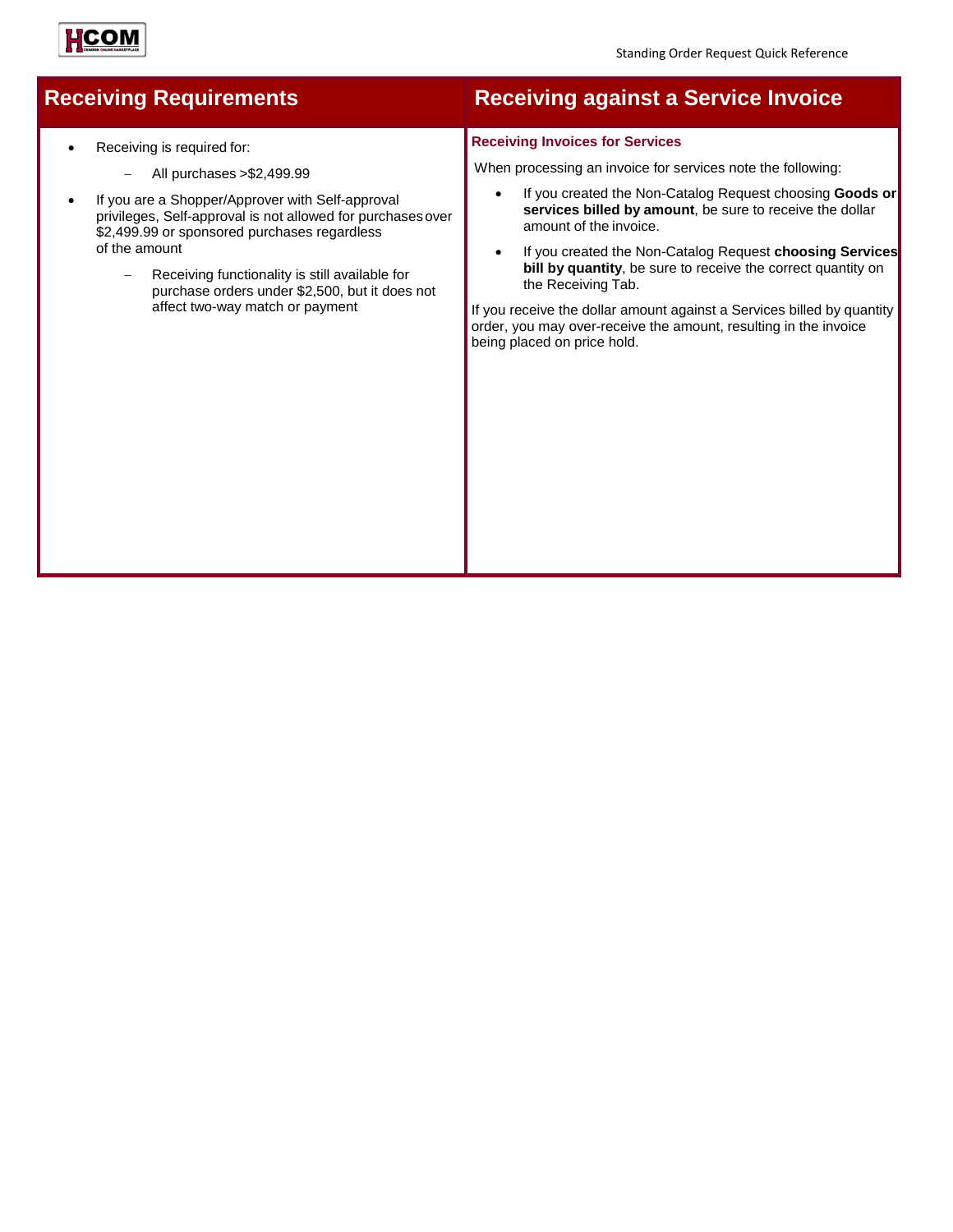

# НСОМ

- Receiving is required for:
	- − All purchases >\$2,499.99
- If you are a Shopper/Approver with Self-approval privileges, Self-approval is not allowed for purchasesover \$2,499.99 or sponsored purchases regardless of the amount
	- Receiving functionality is still available for purchase orders under \$2,500, but it does not affect two-way match or payment

### **Receiving Requirements Receiving against a Service Invoice**

#### **Receiving Invoices for Services**

When processing an invoice for services note the following:

- If you created the Non-Catalog Request choosing **Goods or services billed by amount**, be sure to receive the dollar amount of the invoice.
- If you created the Non-Catalog Request **choosing Services bill by quantity**, be sure to receive the correct quantity on the Receiving Tab.

If you receive the dollar amount against a Services billed by quantity order, you may over-receive the amount, resulting in the invoice being placed on price hold.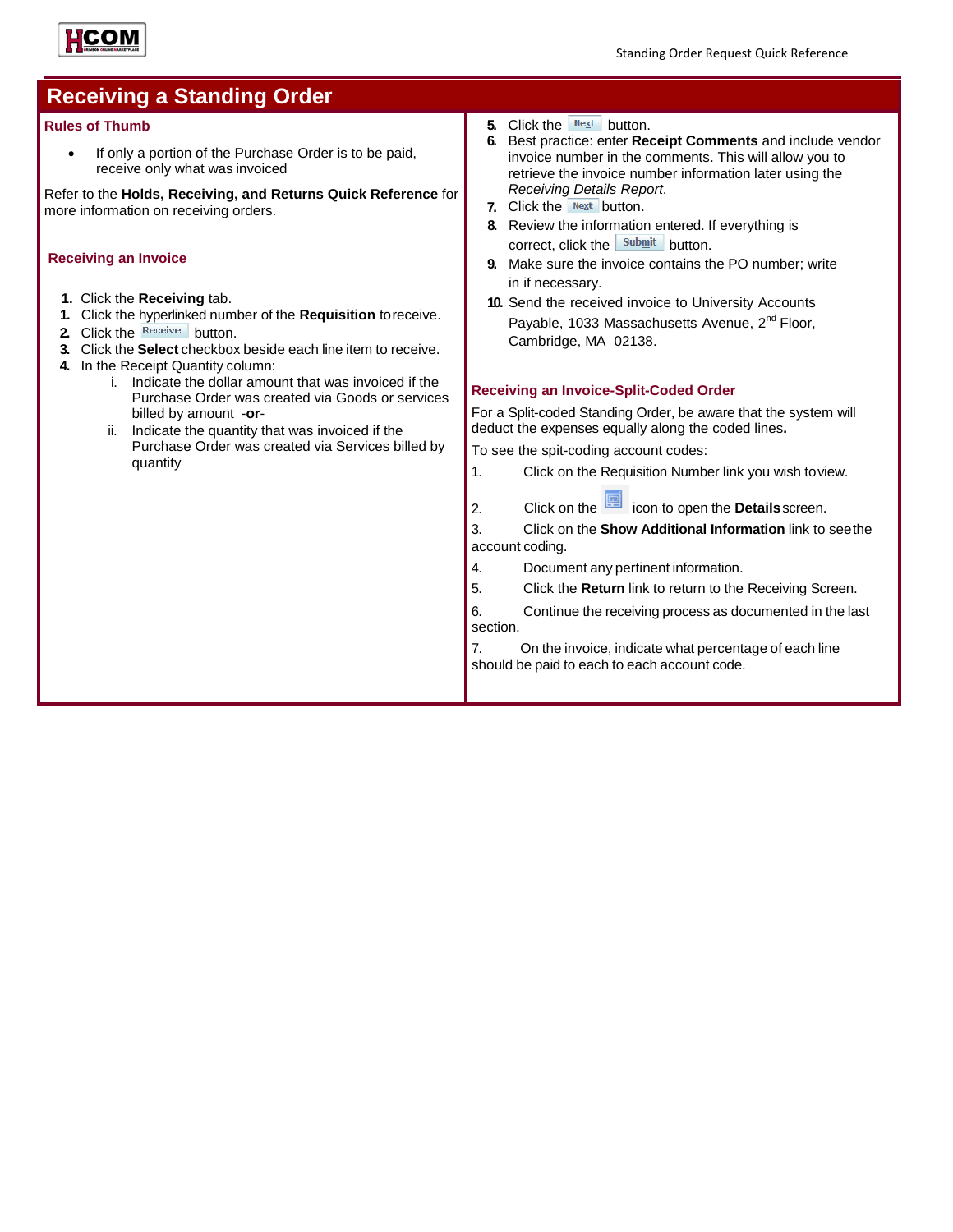

| <b>Receiving a Standing Order</b>                                                                                                                                                                                                                                                                                                                                                                                                                                                                                                                                                                                                                                                                                                                                                  |                                                                                                                                                                                                                                                                                                                                                                                                                                                                                                                                                                                                                                                                                                                                                                                                                                                                                                                                                                                                                                                                                                                                                                                                                                                                                                                                                                           |
|------------------------------------------------------------------------------------------------------------------------------------------------------------------------------------------------------------------------------------------------------------------------------------------------------------------------------------------------------------------------------------------------------------------------------------------------------------------------------------------------------------------------------------------------------------------------------------------------------------------------------------------------------------------------------------------------------------------------------------------------------------------------------------|---------------------------------------------------------------------------------------------------------------------------------------------------------------------------------------------------------------------------------------------------------------------------------------------------------------------------------------------------------------------------------------------------------------------------------------------------------------------------------------------------------------------------------------------------------------------------------------------------------------------------------------------------------------------------------------------------------------------------------------------------------------------------------------------------------------------------------------------------------------------------------------------------------------------------------------------------------------------------------------------------------------------------------------------------------------------------------------------------------------------------------------------------------------------------------------------------------------------------------------------------------------------------------------------------------------------------------------------------------------------------|
| <b>Rules of Thumb</b><br>If only a portion of the Purchase Order is to be paid,<br>receive only what was invoiced<br>Refer to the Holds, Receiving, and Returns Quick Reference for<br>more information on receiving orders.<br><b>Receiving an Invoice</b><br>1. Click the Receiving tab.<br>Click the hyperlinked number of the Requisition to receive.<br>Click the Receive button.<br>$\mathbf{2}$<br>Click the Select checkbox beside each line item to receive.<br>3.<br>In the Receipt Quantity column:<br>4.<br>i. Indicate the dollar amount that was invoiced if the<br>Purchase Order was created via Goods or services<br>billed by amount -or-<br>ii. Indicate the quantity that was invoiced if the<br>Purchase Order was created via Services billed by<br>quantity | 5. Click the $N \in \mathbb{R}$ button.<br>Best practice: enter Receipt Comments and include vendor<br>6.<br>invoice number in the comments. This will allow you to<br>retrieve the invoice number information later using the<br>Receiving Details Report.<br>7. Click the $N_{\text{ext}}$ button.<br>8. Review the information entered. If everything is<br>correct, click the submit button.<br>Make sure the invoice contains the PO number; write<br>in if necessary.<br>10. Send the received invoice to University Accounts<br>Payable, 1033 Massachusetts Avenue, 2 <sup>nd</sup> Floor,<br>Cambridge, MA 02138.<br><b>Receiving an Invoice-Split-Coded Order</b><br>For a Split-coded Standing Order, be aware that the system will<br>deduct the expenses equally along the coded lines.<br>To see the spit-coding account codes:<br>Click on the Requisition Number link you wish to view.<br>1.<br>Click on the con to open the <b>Details</b> screen.<br>2.<br>Click on the Show Additional Information link to seethe<br>3.<br>account coding.<br>Document any pertinent information.<br>4.<br>5.<br>Click the Return link to return to the Receiving Screen.<br>Continue the receiving process as documented in the last<br>6.<br>section.<br>On the invoice, indicate what percentage of each line<br>7.<br>should be paid to each to each account code. |
|                                                                                                                                                                                                                                                                                                                                                                                                                                                                                                                                                                                                                                                                                                                                                                                    |                                                                                                                                                                                                                                                                                                                                                                                                                                                                                                                                                                                                                                                                                                                                                                                                                                                                                                                                                                                                                                                                                                                                                                                                                                                                                                                                                                           |